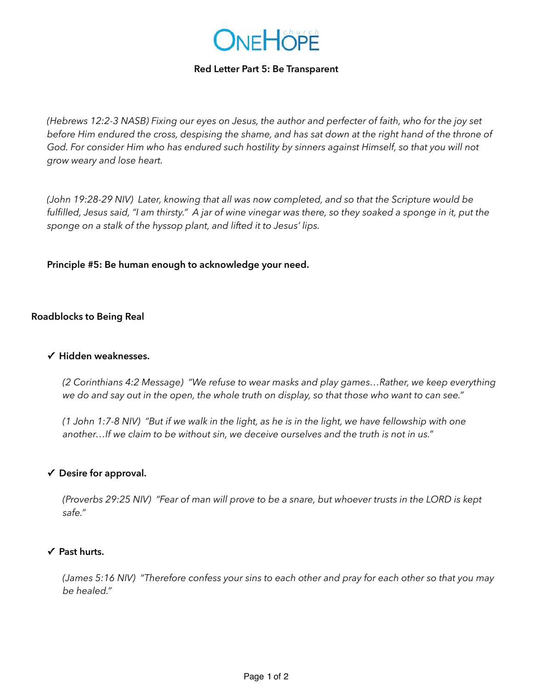

### **Red Letter Part 5: Be Transparent**

*(Hebrews 12:2-3 NASB) Fixing our eyes on Jesus, the author and perfecter of faith, who for the joy set before Him endured the cross, despising the shame, and has sat down at the right hand of the throne of God. For consider Him who has endured such hostility by sinners against Himself, so that you will not grow weary and lose heart.*

*(John 19:28-29 NIV) Later, knowing that all was now completed, and so that the Scripture would be*  fulfilled, Jesus said, "I am thirsty." A jar of wine vinegar was there, so they soaked a sponge in it, put the *sponge on a stalk of the hyssop plant, and lifted it to Jesus' lips.*

**Principle #5: Be human enough to acknowledge your need.** 

### **Roadblocks to Being Real**

### **✓ Hidden weaknesses.**

*(2 Corinthians 4:2 Message) "We refuse to wear masks and play games…Rather, we keep everything we do and say out in the open, the whole truth on display, so that those who want to can see."*

*(1 John 1:7-8 NIV) "But if we walk in the light, as he is in the light, we have fellowship with one another…If we claim to be without sin, we deceive ourselves and the truth is not in us."* 

### **✓ Desire for approval.**

*(Proverbs 29:25 NIV) "Fear of man will prove to be a snare, but whoever trusts in the LORD is kept safe."* 

#### **✓ Past hurts.**

*(James 5:16 NIV) "Therefore confess your sins to each other and pray for each other so that you may be healed."*